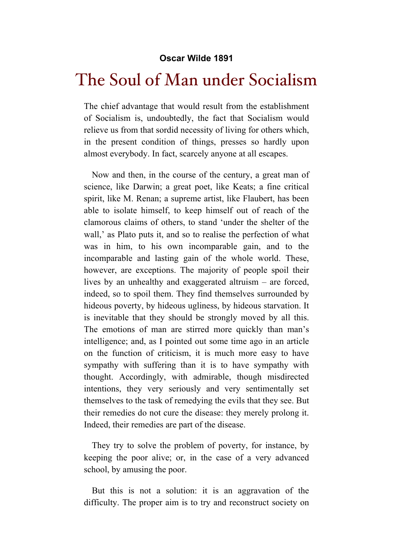## **Oscar Wilde 1891**

## The Soul of Man under Socialism

The chief advantage that would result from the establishment of Socialism is, undoubtedly, the fact that Socialism would relieve us from that sordid necessity of living for others which, in the present condition of things, presses so hardly upon almost everybody. In fact, scarcely anyone at all escapes.

Now and then, in the course of the century, a great man of science, like Darwin; a great poet, like Keats; a fine critical spirit, like M. Renan; a supreme artist, like Flaubert, has been able to isolate himself, to keep himself out of reach of the clamorous claims of others, to stand 'under the shelter of the wall,' as Plato puts it, and so to realise the perfection of what was in him, to his own incomparable gain, and to the incomparable and lasting gain of the whole world. These, however, are exceptions. The majority of people spoil their lives by an unhealthy and exaggerated altruism – are forced, indeed, so to spoil them. They find themselves surrounded by hideous poverty, by hideous ugliness, by hideous starvation. It is inevitable that they should be strongly moved by all this. The emotions of man are stirred more quickly than man's intelligence; and, as I pointed out some time ago in an article on the function of criticism, it is much more easy to have sympathy with suffering than it is to have sympathy with thought. Accordingly, with admirable, though misdirected intentions, they very seriously and very sentimentally set themselves to the task of remedying the evils that they see. But their remedies do not cure the disease: they merely prolong it. Indeed, their remedies are part of the disease.

They try to solve the problem of poverty, for instance, by keeping the poor alive; or, in the case of a very advanced school, by amusing the poor.

But this is not a solution: it is an aggravation of the difficulty. The proper aim is to try and reconstruct society on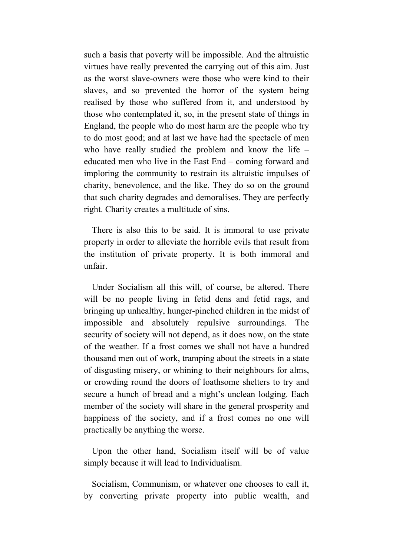such a basis that poverty will be impossible. And the altruistic virtues have really prevented the carrying out of this aim. Just as the worst slave-owners were those who were kind to their slaves, and so prevented the horror of the system being realised by those who suffered from it, and understood by those who contemplated it, so, in the present state of things in England, the people who do most harm are the people who try to do most good; and at last we have had the spectacle of men who have really studied the problem and know the life – educated men who live in the East End – coming forward and imploring the community to restrain its altruistic impulses of charity, benevolence, and the like. They do so on the ground that such charity degrades and demoralises. They are perfectly right. Charity creates a multitude of sins.

There is also this to be said. It is immoral to use private property in order to alleviate the horrible evils that result from the institution of private property. It is both immoral and unfair.

Under Socialism all this will, of course, be altered. There will be no people living in fetid dens and fetid rags, and bringing up unhealthy, hunger-pinched children in the midst of impossible and absolutely repulsive surroundings. The security of society will not depend, as it does now, on the state of the weather. If a frost comes we shall not have a hundred thousand men out of work, tramping about the streets in a state of disgusting misery, or whining to their neighbours for alms, or crowding round the doors of loathsome shelters to try and secure a hunch of bread and a night's unclean lodging. Each member of the society will share in the general prosperity and happiness of the society, and if a frost comes no one will practically be anything the worse.

Upon the other hand, Socialism itself will be of value simply because it will lead to Individualism.

Socialism, Communism, or whatever one chooses to call it, by converting private property into public wealth, and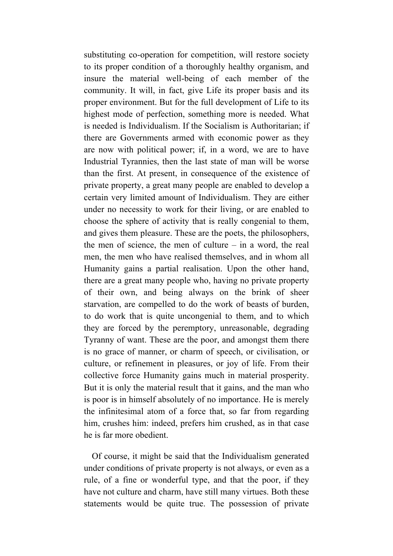substituting co-operation for competition, will restore society to its proper condition of a thoroughly healthy organism, and insure the material well-being of each member of the community. It will, in fact, give Life its proper basis and its proper environment. But for the full development of Life to its highest mode of perfection, something more is needed. What is needed is Individualism. If the Socialism is Authoritarian; if there are Governments armed with economic power as they are now with political power; if, in a word, we are to have Industrial Tyrannies, then the last state of man will be worse than the first. At present, in consequence of the existence of private property, a great many people are enabled to develop a certain very limited amount of Individualism. They are either under no necessity to work for their living, or are enabled to choose the sphere of activity that is really congenial to them, and gives them pleasure. These are the poets, the philosophers, the men of science, the men of culture – in a word, the real men, the men who have realised themselves, and in whom all Humanity gains a partial realisation. Upon the other hand, there are a great many people who, having no private property of their own, and being always on the brink of sheer starvation, are compelled to do the work of beasts of burden, to do work that is quite uncongenial to them, and to which they are forced by the peremptory, unreasonable, degrading Tyranny of want. These are the poor, and amongst them there is no grace of manner, or charm of speech, or civilisation, or culture, or refinement in pleasures, or joy of life. From their collective force Humanity gains much in material prosperity. But it is only the material result that it gains, and the man who is poor is in himself absolutely of no importance. He is merely the infinitesimal atom of a force that, so far from regarding him, crushes him: indeed, prefers him crushed, as in that case he is far more obedient.

Of course, it might be said that the Individualism generated under conditions of private property is not always, or even as a rule, of a fine or wonderful type, and that the poor, if they have not culture and charm, have still many virtues. Both these statements would be quite true. The possession of private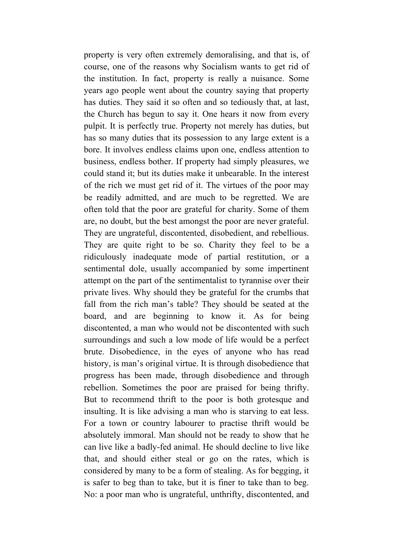property is very often extremely demoralising, and that is, of course, one of the reasons why Socialism wants to get rid of the institution. In fact, property is really a nuisance. Some years ago people went about the country saying that property has duties. They said it so often and so tediously that, at last, the Church has begun to say it. One hears it now from every pulpit. It is perfectly true. Property not merely has duties, but has so many duties that its possession to any large extent is a bore. It involves endless claims upon one, endless attention to business, endless bother. If property had simply pleasures, we could stand it; but its duties make it unbearable. In the interest of the rich we must get rid of it. The virtues of the poor may be readily admitted, and are much to be regretted. We are often told that the poor are grateful for charity. Some of them are, no doubt, but the best amongst the poor are never grateful. They are ungrateful, discontented, disobedient, and rebellious. They are quite right to be so. Charity they feel to be a ridiculously inadequate mode of partial restitution, or a sentimental dole, usually accompanied by some impertinent attempt on the part of the sentimentalist to tyrannise over their private lives. Why should they be grateful for the crumbs that fall from the rich man's table? They should be seated at the board, and are beginning to know it. As for being discontented, a man who would not be discontented with such surroundings and such a low mode of life would be a perfect brute. Disobedience, in the eyes of anyone who has read history, is man's original virtue. It is through disobedience that progress has been made, through disobedience and through rebellion. Sometimes the poor are praised for being thrifty. But to recommend thrift to the poor is both grotesque and insulting. It is like advising a man who is starving to eat less. For a town or country labourer to practise thrift would be absolutely immoral. Man should not be ready to show that he can live like a badly-fed animal. He should decline to live like that, and should either steal or go on the rates, which is considered by many to be a form of stealing. As for begging, it is safer to beg than to take, but it is finer to take than to beg. No: a poor man who is ungrateful, unthrifty, discontented, and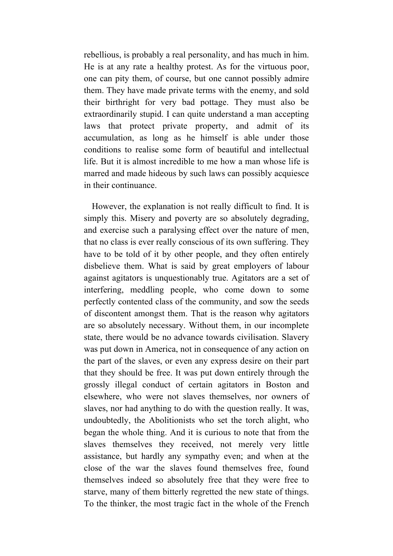rebellious, is probably a real personality, and has much in him. He is at any rate a healthy protest. As for the virtuous poor, one can pity them, of course, but one cannot possibly admire them. They have made private terms with the enemy, and sold their birthright for very bad pottage. They must also be extraordinarily stupid. I can quite understand a man accepting laws that protect private property, and admit of its accumulation, as long as he himself is able under those conditions to realise some form of beautiful and intellectual life. But it is almost incredible to me how a man whose life is marred and made hideous by such laws can possibly acquiesce in their continuance.

However, the explanation is not really difficult to find. It is simply this. Misery and poverty are so absolutely degrading, and exercise such a paralysing effect over the nature of men, that no class is ever really conscious of its own suffering. They have to be told of it by other people, and they often entirely disbelieve them. What is said by great employers of labour against agitators is unquestionably true. Agitators are a set of interfering, meddling people, who come down to some perfectly contented class of the community, and sow the seeds of discontent amongst them. That is the reason why agitators are so absolutely necessary. Without them, in our incomplete state, there would be no advance towards civilisation. Slavery was put down in America, not in consequence of any action on the part of the slaves, or even any express desire on their part that they should be free. It was put down entirely through the grossly illegal conduct of certain agitators in Boston and elsewhere, who were not slaves themselves, nor owners of slaves, nor had anything to do with the question really. It was, undoubtedly, the Abolitionists who set the torch alight, who began the whole thing. And it is curious to note that from the slaves themselves they received, not merely very little assistance, but hardly any sympathy even; and when at the close of the war the slaves found themselves free, found themselves indeed so absolutely free that they were free to starve, many of them bitterly regretted the new state of things. To the thinker, the most tragic fact in the whole of the French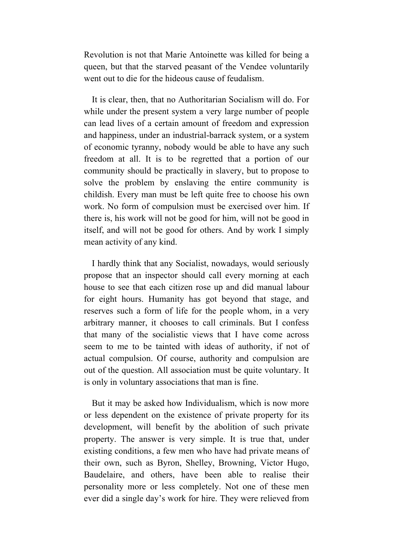Revolution is not that Marie Antoinette was killed for being a queen, but that the starved peasant of the Vendee voluntarily went out to die for the hideous cause of feudalism.

It is clear, then, that no Authoritarian Socialism will do. For while under the present system a very large number of people can lead lives of a certain amount of freedom and expression and happiness, under an industrial-barrack system, or a system of economic tyranny, nobody would be able to have any such freedom at all. It is to be regretted that a portion of our community should be practically in slavery, but to propose to solve the problem by enslaving the entire community is childish. Every man must be left quite free to choose his own work. No form of compulsion must be exercised over him. If there is, his work will not be good for him, will not be good in itself, and will not be good for others. And by work I simply mean activity of any kind.

I hardly think that any Socialist, nowadays, would seriously propose that an inspector should call every morning at each house to see that each citizen rose up and did manual labour for eight hours. Humanity has got beyond that stage, and reserves such a form of life for the people whom, in a very arbitrary manner, it chooses to call criminals. But I confess that many of the socialistic views that I have come across seem to me to be tainted with ideas of authority, if not of actual compulsion. Of course, authority and compulsion are out of the question. All association must be quite voluntary. It is only in voluntary associations that man is fine.

But it may be asked how Individualism, which is now more or less dependent on the existence of private property for its development, will benefit by the abolition of such private property. The answer is very simple. It is true that, under existing conditions, a few men who have had private means of their own, such as Byron, Shelley, Browning, Victor Hugo, Baudelaire, and others, have been able to realise their personality more or less completely. Not one of these men ever did a single day's work for hire. They were relieved from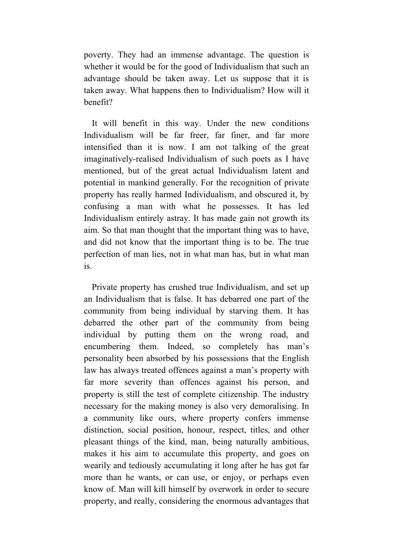poverty. They had an immense advantage. The question is whether it would be for the good of Individualism that such an advantage should be taken away. Let us suppose that it is taken away. What happens then to Individualism? How will it benefit?

It will benefit in this way. Under the new conditions Individualism will be far freer, far finer, and far more intensified than it is now. I am not talking of the great imaginatively-realised Individualism of such poets as I have mentioned, but of the great actual Individualism latent and potential in mankind generally. For the recognition of private property has really harmed Individualism, and obscured it, by confusing a man with what he possesses. It has led Individualism entirely astray. It has made gain not growth its aim. So that man thought that the important thing was to have, and did not know that the important thing is to be. The true perfection of man lies, not in what man has, but in what man is.

Private property has crushed true Individualism, and set up an Individualism that is false. It has debarred one part of the community from being individual by starving them. It has debarred the other part of the community from being individual by putting them on the wrong road, and encumbering them. Indeed, so completely has man's personality been absorbed by his possessions that the English law has always treated offences against a man's property with far more severity than offences against his person, and property is still the test of complete citizenship. The industry necessary for the making money is also very demoralising. In a community like ours, where property confers immense distinction, social position, honour, respect, titles, and other pleasant things of the kind, man, being naturally ambitious, makes it his aim to accumulate this property, and goes on wearily and tediously accumulating it long after he has got far more than he wants, or can use, or enjoy, or perhaps even know of. Man will kill himself by overwork in order to secure property, and really, considering the enormous advantages that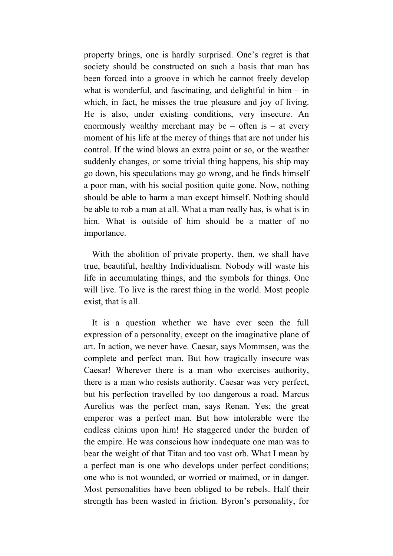property brings, one is hardly surprised. One's regret is that society should be constructed on such a basis that man has been forced into a groove in which he cannot freely develop what is wonderful, and fascinating, and delightful in  $him - in$ which, in fact, he misses the true pleasure and joy of living. He is also, under existing conditions, very insecure. An enormously wealthy merchant may be  $-$  often is  $-$  at every moment of his life at the mercy of things that are not under his control. If the wind blows an extra point or so, or the weather suddenly changes, or some trivial thing happens, his ship may go down, his speculations may go wrong, and he finds himself a poor man, with his social position quite gone. Now, nothing should be able to harm a man except himself. Nothing should be able to rob a man at all. What a man really has, is what is in him. What is outside of him should be a matter of no importance.

With the abolition of private property, then, we shall have true, beautiful, healthy Individualism. Nobody will waste his life in accumulating things, and the symbols for things. One will live. To live is the rarest thing in the world. Most people exist, that is all.

It is a question whether we have ever seen the full expression of a personality, except on the imaginative plane of art. In action, we never have. Caesar, says Mommsen, was the complete and perfect man. But how tragically insecure was Caesar! Wherever there is a man who exercises authority, there is a man who resists authority. Caesar was very perfect, but his perfection travelled by too dangerous a road. Marcus Aurelius was the perfect man, says Renan. Yes; the great emperor was a perfect man. But how intolerable were the endless claims upon him! He staggered under the burden of the empire. He was conscious how inadequate one man was to bear the weight of that Titan and too vast orb. What I mean by a perfect man is one who develops under perfect conditions; one who is not wounded, or worried or maimed, or in danger. Most personalities have been obliged to be rebels. Half their strength has been wasted in friction. Byron's personality, for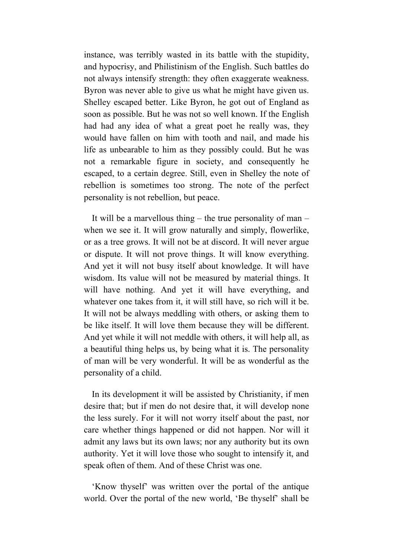instance, was terribly wasted in its battle with the stupidity, and hypocrisy, and Philistinism of the English. Such battles do not always intensify strength: they often exaggerate weakness. Byron was never able to give us what he might have given us. Shelley escaped better. Like Byron, he got out of England as soon as possible. But he was not so well known. If the English had had any idea of what a great poet he really was, they would have fallen on him with tooth and nail, and made his life as unbearable to him as they possibly could. But he was not a remarkable figure in society, and consequently he escaped, to a certain degree. Still, even in Shelley the note of rebellion is sometimes too strong. The note of the perfect personality is not rebellion, but peace.

It will be a marvellous thing – the true personality of man – when we see it. It will grow naturally and simply, flowerlike, or as a tree grows. It will not be at discord. It will never argue or dispute. It will not prove things. It will know everything. And yet it will not busy itself about knowledge. It will have wisdom. Its value will not be measured by material things. It will have nothing. And yet it will have everything, and whatever one takes from it, it will still have, so rich will it be. It will not be always meddling with others, or asking them to be like itself. It will love them because they will be different. And yet while it will not meddle with others, it will help all, as a beautiful thing helps us, by being what it is. The personality of man will be very wonderful. It will be as wonderful as the personality of a child.

In its development it will be assisted by Christianity, if men desire that; but if men do not desire that, it will develop none the less surely. For it will not worry itself about the past, nor care whether things happened or did not happen. Nor will it admit any laws but its own laws; nor any authority but its own authority. Yet it will love those who sought to intensify it, and speak often of them. And of these Christ was one.

'Know thyself' was written over the portal of the antique world. Over the portal of the new world, 'Be thyself' shall be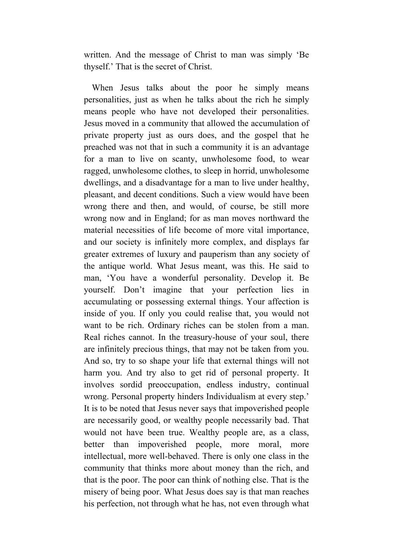written. And the message of Christ to man was simply 'Be thyself.' That is the secret of Christ.

When Jesus talks about the poor he simply means personalities, just as when he talks about the rich he simply means people who have not developed their personalities. Jesus moved in a community that allowed the accumulation of private property just as ours does, and the gospel that he preached was not that in such a community it is an advantage for a man to live on scanty, unwholesome food, to wear ragged, unwholesome clothes, to sleep in horrid, unwholesome dwellings, and a disadvantage for a man to live under healthy, pleasant, and decent conditions. Such a view would have been wrong there and then, and would, of course, be still more wrong now and in England; for as man moves northward the material necessities of life become of more vital importance, and our society is infinitely more complex, and displays far greater extremes of luxury and pauperism than any society of the antique world. What Jesus meant, was this. He said to man, 'You have a wonderful personality. Develop it. Be yourself. Don't imagine that your perfection lies in accumulating or possessing external things. Your affection is inside of you. If only you could realise that, you would not want to be rich. Ordinary riches can be stolen from a man. Real riches cannot. In the treasury-house of your soul, there are infinitely precious things, that may not be taken from you. And so, try to so shape your life that external things will not harm you. And try also to get rid of personal property. It involves sordid preoccupation, endless industry, continual wrong. Personal property hinders Individualism at every step.' It is to be noted that Jesus never says that impoverished people are necessarily good, or wealthy people necessarily bad. That would not have been true. Wealthy people are, as a class, better than impoverished people, more moral, more intellectual, more well-behaved. There is only one class in the community that thinks more about money than the rich, and that is the poor. The poor can think of nothing else. That is the misery of being poor. What Jesus does say is that man reaches his perfection, not through what he has, not even through what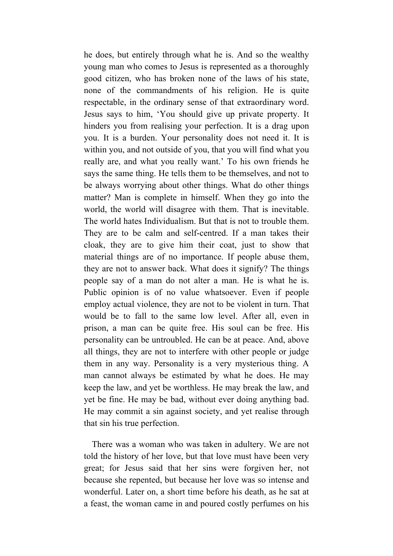he does, but entirely through what he is. And so the wealthy young man who comes to Jesus is represented as a thoroughly good citizen, who has broken none of the laws of his state, none of the commandments of his religion. He is quite respectable, in the ordinary sense of that extraordinary word. Jesus says to him, 'You should give up private property. It hinders you from realising your perfection. It is a drag upon you. It is a burden. Your personality does not need it. It is within you, and not outside of you, that you will find what you really are, and what you really want.' To his own friends he says the same thing. He tells them to be themselves, and not to be always worrying about other things. What do other things matter? Man is complete in himself. When they go into the world, the world will disagree with them. That is inevitable. The world hates Individualism. But that is not to trouble them. They are to be calm and self-centred. If a man takes their cloak, they are to give him their coat, just to show that material things are of no importance. If people abuse them, they are not to answer back. What does it signify? The things people say of a man do not alter a man. He is what he is. Public opinion is of no value whatsoever. Even if people employ actual violence, they are not to be violent in turn. That would be to fall to the same low level. After all, even in prison, a man can be quite free. His soul can be free. His personality can be untroubled. He can be at peace. And, above all things, they are not to interfere with other people or judge them in any way. Personality is a very mysterious thing. A man cannot always be estimated by what he does. He may keep the law, and yet be worthless. He may break the law, and yet be fine. He may be bad, without ever doing anything bad. He may commit a sin against society, and yet realise through that sin his true perfection.

There was a woman who was taken in adultery. We are not told the history of her love, but that love must have been very great; for Jesus said that her sins were forgiven her, not because she repented, but because her love was so intense and wonderful. Later on, a short time before his death, as he sat at a feast, the woman came in and poured costly perfumes on his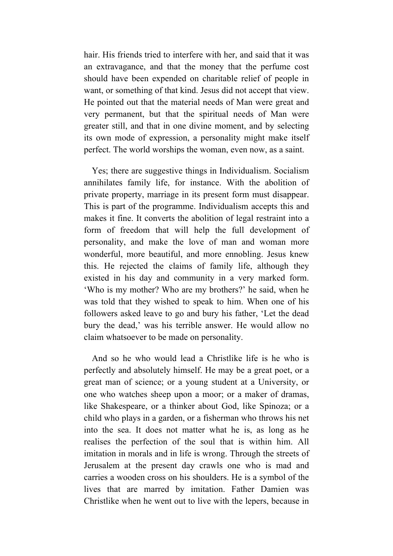hair. His friends tried to interfere with her, and said that it was an extravagance, and that the money that the perfume cost should have been expended on charitable relief of people in want, or something of that kind. Jesus did not accept that view. He pointed out that the material needs of Man were great and very permanent, but that the spiritual needs of Man were greater still, and that in one divine moment, and by selecting its own mode of expression, a personality might make itself perfect. The world worships the woman, even now, as a saint.

Yes; there are suggestive things in Individualism. Socialism annihilates family life, for instance. With the abolition of private property, marriage in its present form must disappear. This is part of the programme. Individualism accepts this and makes it fine. It converts the abolition of legal restraint into a form of freedom that will help the full development of personality, and make the love of man and woman more wonderful, more beautiful, and more ennobling. Jesus knew this. He rejected the claims of family life, although they existed in his day and community in a very marked form. 'Who is my mother? Who are my brothers?' he said, when he was told that they wished to speak to him. When one of his followers asked leave to go and bury his father, 'Let the dead bury the dead,' was his terrible answer. He would allow no claim whatsoever to be made on personality.

And so he who would lead a Christlike life is he who is perfectly and absolutely himself. He may be a great poet, or a great man of science; or a young student at a University, or one who watches sheep upon a moor; or a maker of dramas, like Shakespeare, or a thinker about God, like Spinoza; or a child who plays in a garden, or a fisherman who throws his net into the sea. It does not matter what he is, as long as he realises the perfection of the soul that is within him. All imitation in morals and in life is wrong. Through the streets of Jerusalem at the present day crawls one who is mad and carries a wooden cross on his shoulders. He is a symbol of the lives that are marred by imitation. Father Damien was Christlike when he went out to live with the lepers, because in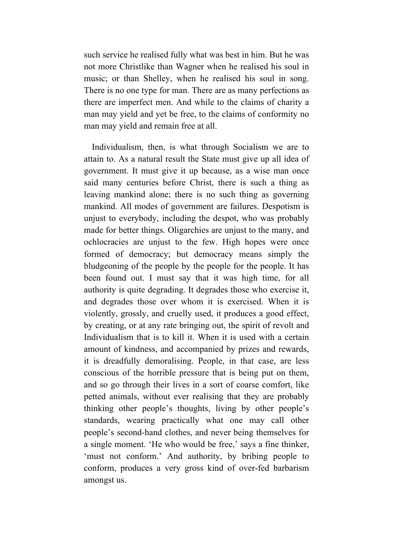such service he realised fully what was best in him. But he was not more Christlike than Wagner when he realised his soul in music; or than Shelley, when he realised his soul in song. There is no one type for man. There are as many perfections as there are imperfect men. And while to the claims of charity a man may yield and yet be free, to the claims of conformity no man may yield and remain free at all.

Individualism, then, is what through Socialism we are to attain to. As a natural result the State must give up all idea of government. It must give it up because, as a wise man once said many centuries before Christ, there is such a thing as leaving mankind alone; there is no such thing as governing mankind. All modes of government are failures. Despotism is unjust to everybody, including the despot, who was probably made for better things. Oligarchies are unjust to the many, and ochlocracies are unjust to the few. High hopes were once formed of democracy; but democracy means simply the bludgeoning of the people by the people for the people. It has been found out. I must say that it was high time, for all authority is quite degrading. It degrades those who exercise it, and degrades those over whom it is exercised. When it is violently, grossly, and cruelly used, it produces a good effect, by creating, or at any rate bringing out, the spirit of revolt and Individualism that is to kill it. When it is used with a certain amount of kindness, and accompanied by prizes and rewards, it is dreadfully demoralising. People, in that case, are less conscious of the horrible pressure that is being put on them, and so go through their lives in a sort of coarse comfort, like petted animals, without ever realising that they are probably thinking other people's thoughts, living by other people's standards, wearing practically what one may call other people's second-hand clothes, and never being themselves for a single moment. 'He who would be free,' says a fine thinker, 'must not conform.' And authority, by bribing people to conform, produces a very gross kind of over-fed barbarism amongst us.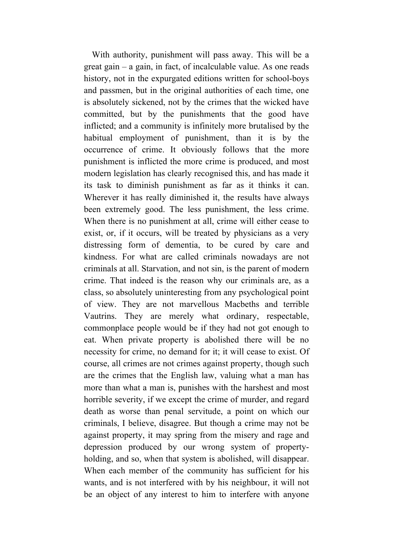With authority, punishment will pass away. This will be a great gain – a gain, in fact, of incalculable value. As one reads history, not in the expurgated editions written for school-boys and passmen, but in the original authorities of each time, one is absolutely sickened, not by the crimes that the wicked have committed, but by the punishments that the good have inflicted; and a community is infinitely more brutalised by the habitual employment of punishment, than it is by the occurrence of crime. It obviously follows that the more punishment is inflicted the more crime is produced, and most modern legislation has clearly recognised this, and has made it its task to diminish punishment as far as it thinks it can. Wherever it has really diminished it, the results have always been extremely good. The less punishment, the less crime. When there is no punishment at all, crime will either cease to exist, or, if it occurs, will be treated by physicians as a very distressing form of dementia, to be cured by care and kindness. For what are called criminals nowadays are not criminals at all. Starvation, and not sin, is the parent of modern crime. That indeed is the reason why our criminals are, as a class, so absolutely uninteresting from any psychological point of view. They are not marvellous Macbeths and terrible Vautrins. They are merely what ordinary, respectable, commonplace people would be if they had not got enough to eat. When private property is abolished there will be no necessity for crime, no demand for it; it will cease to exist. Of course, all crimes are not crimes against property, though such are the crimes that the English law, valuing what a man has more than what a man is, punishes with the harshest and most horrible severity, if we except the crime of murder, and regard death as worse than penal servitude, a point on which our criminals, I believe, disagree. But though a crime may not be against property, it may spring from the misery and rage and depression produced by our wrong system of propertyholding, and so, when that system is abolished, will disappear. When each member of the community has sufficient for his wants, and is not interfered with by his neighbour, it will not be an object of any interest to him to interfere with anyone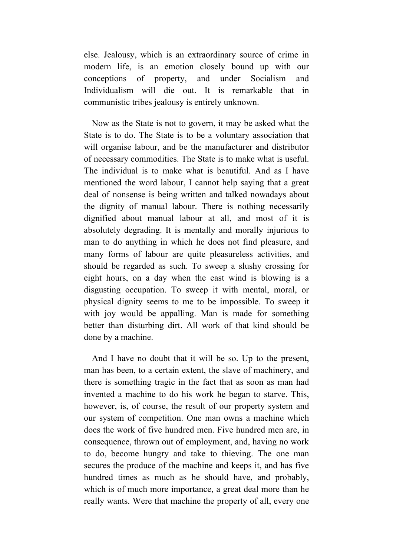else. Jealousy, which is an extraordinary source of crime in modern life, is an emotion closely bound up with our conceptions of property, and under Socialism and Individualism will die out. It is remarkable that in communistic tribes jealousy is entirely unknown.

Now as the State is not to govern, it may be asked what the State is to do. The State is to be a voluntary association that will organise labour, and be the manufacturer and distributor of necessary commodities. The State is to make what is useful. The individual is to make what is beautiful. And as I have mentioned the word labour, I cannot help saying that a great deal of nonsense is being written and talked nowadays about the dignity of manual labour. There is nothing necessarily dignified about manual labour at all, and most of it is absolutely degrading. It is mentally and morally injurious to man to do anything in which he does not find pleasure, and many forms of labour are quite pleasureless activities, and should be regarded as such. To sweep a slushy crossing for eight hours, on a day when the east wind is blowing is a disgusting occupation. To sweep it with mental, moral, or physical dignity seems to me to be impossible. To sweep it with joy would be appalling. Man is made for something better than disturbing dirt. All work of that kind should be done by a machine.

And I have no doubt that it will be so. Up to the present, man has been, to a certain extent, the slave of machinery, and there is something tragic in the fact that as soon as man had invented a machine to do his work he began to starve. This, however, is, of course, the result of our property system and our system of competition. One man owns a machine which does the work of five hundred men. Five hundred men are, in consequence, thrown out of employment, and, having no work to do, become hungry and take to thieving. The one man secures the produce of the machine and keeps it, and has five hundred times as much as he should have, and probably, which is of much more importance, a great deal more than he really wants. Were that machine the property of all, every one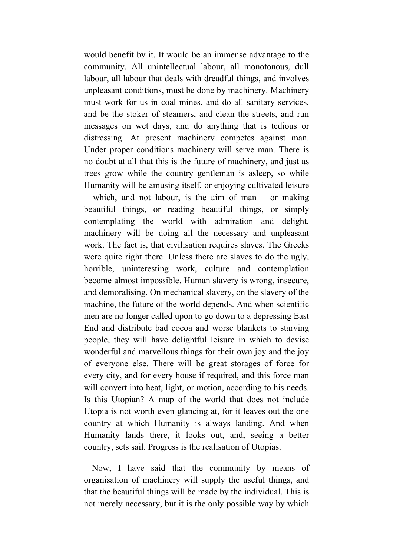would benefit by it. It would be an immense advantage to the community. All unintellectual labour, all monotonous, dull labour, all labour that deals with dreadful things, and involves unpleasant conditions, must be done by machinery. Machinery must work for us in coal mines, and do all sanitary services, and be the stoker of steamers, and clean the streets, and run messages on wet days, and do anything that is tedious or distressing. At present machinery competes against man. Under proper conditions machinery will serve man. There is no doubt at all that this is the future of machinery, and just as trees grow while the country gentleman is asleep, so while Humanity will be amusing itself, or enjoying cultivated leisure – which, and not labour, is the aim of man – or making beautiful things, or reading beautiful things, or simply contemplating the world with admiration and delight, machinery will be doing all the necessary and unpleasant work. The fact is, that civilisation requires slaves. The Greeks were quite right there. Unless there are slaves to do the ugly, horrible, uninteresting work, culture and contemplation become almost impossible. Human slavery is wrong, insecure, and demoralising. On mechanical slavery, on the slavery of the machine, the future of the world depends. And when scientific men are no longer called upon to go down to a depressing East End and distribute bad cocoa and worse blankets to starving people, they will have delightful leisure in which to devise wonderful and marvellous things for their own joy and the joy of everyone else. There will be great storages of force for every city, and for every house if required, and this force man will convert into heat, light, or motion, according to his needs. Is this Utopian? A map of the world that does not include Utopia is not worth even glancing at, for it leaves out the one country at which Humanity is always landing. And when Humanity lands there, it looks out, and, seeing a better country, sets sail. Progress is the realisation of Utopias.

Now, I have said that the community by means of organisation of machinery will supply the useful things, and that the beautiful things will be made by the individual. This is not merely necessary, but it is the only possible way by which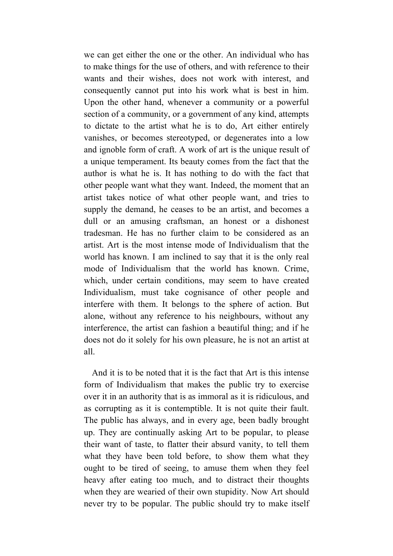we can get either the one or the other. An individual who has to make things for the use of others, and with reference to their wants and their wishes, does not work with interest, and consequently cannot put into his work what is best in him. Upon the other hand, whenever a community or a powerful section of a community, or a government of any kind, attempts to dictate to the artist what he is to do, Art either entirely vanishes, or becomes stereotyped, or degenerates into a low and ignoble form of craft. A work of art is the unique result of a unique temperament. Its beauty comes from the fact that the author is what he is. It has nothing to do with the fact that other people want what they want. Indeed, the moment that an artist takes notice of what other people want, and tries to supply the demand, he ceases to be an artist, and becomes a dull or an amusing craftsman, an honest or a dishonest tradesman. He has no further claim to be considered as an artist. Art is the most intense mode of Individualism that the world has known. I am inclined to say that it is the only real mode of Individualism that the world has known. Crime, which, under certain conditions, may seem to have created Individualism, must take cognisance of other people and interfere with them. It belongs to the sphere of action. But alone, without any reference to his neighbours, without any interference, the artist can fashion a beautiful thing; and if he does not do it solely for his own pleasure, he is not an artist at all.

And it is to be noted that it is the fact that Art is this intense form of Individualism that makes the public try to exercise over it in an authority that is as immoral as it is ridiculous, and as corrupting as it is contemptible. It is not quite their fault. The public has always, and in every age, been badly brought up. They are continually asking Art to be popular, to please their want of taste, to flatter their absurd vanity, to tell them what they have been told before, to show them what they ought to be tired of seeing, to amuse them when they feel heavy after eating too much, and to distract their thoughts when they are wearied of their own stupidity. Now Art should never try to be popular. The public should try to make itself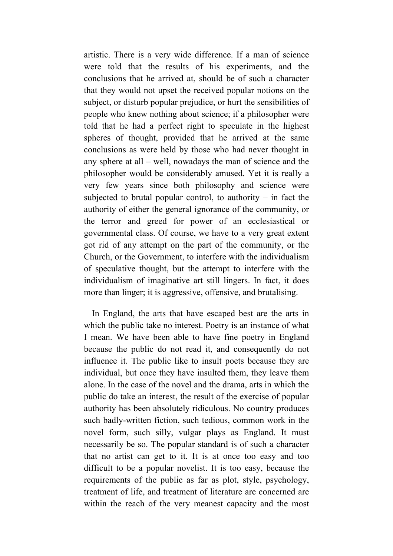artistic. There is a very wide difference. If a man of science were told that the results of his experiments, and the conclusions that he arrived at, should be of such a character that they would not upset the received popular notions on the subject, or disturb popular prejudice, or hurt the sensibilities of people who knew nothing about science; if a philosopher were told that he had a perfect right to speculate in the highest spheres of thought, provided that he arrived at the same conclusions as were held by those who had never thought in any sphere at all – well, nowadays the man of science and the philosopher would be considerably amused. Yet it is really a very few years since both philosophy and science were subjected to brutal popular control, to authority – in fact the authority of either the general ignorance of the community, or the terror and greed for power of an ecclesiastical or governmental class. Of course, we have to a very great extent got rid of any attempt on the part of the community, or the Church, or the Government, to interfere with the individualism of speculative thought, but the attempt to interfere with the individualism of imaginative art still lingers. In fact, it does more than linger; it is aggressive, offensive, and brutalising.

In England, the arts that have escaped best are the arts in which the public take no interest. Poetry is an instance of what I mean. We have been able to have fine poetry in England because the public do not read it, and consequently do not influence it. The public like to insult poets because they are individual, but once they have insulted them, they leave them alone. In the case of the novel and the drama, arts in which the public do take an interest, the result of the exercise of popular authority has been absolutely ridiculous. No country produces such badly-written fiction, such tedious, common work in the novel form, such silly, vulgar plays as England. It must necessarily be so. The popular standard is of such a character that no artist can get to it. It is at once too easy and too difficult to be a popular novelist. It is too easy, because the requirements of the public as far as plot, style, psychology, treatment of life, and treatment of literature are concerned are within the reach of the very meanest capacity and the most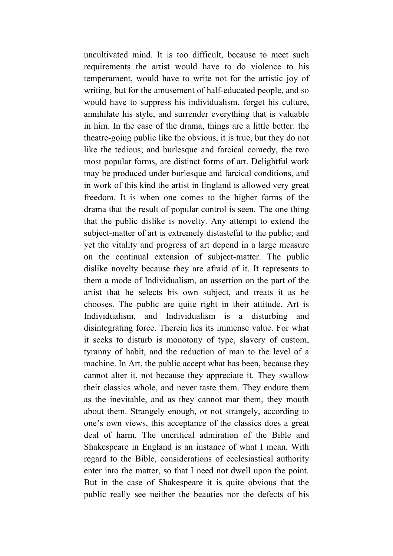uncultivated mind. It is too difficult, because to meet such requirements the artist would have to do violence to his temperament, would have to write not for the artistic joy of writing, but for the amusement of half-educated people, and so would have to suppress his individualism, forget his culture, annihilate his style, and surrender everything that is valuable in him. In the case of the drama, things are a little better: the theatre-going public like the obvious, it is true, but they do not like the tedious; and burlesque and farcical comedy, the two most popular forms, are distinct forms of art. Delightful work may be produced under burlesque and farcical conditions, and in work of this kind the artist in England is allowed very great freedom. It is when one comes to the higher forms of the drama that the result of popular control is seen. The one thing that the public dislike is novelty. Any attempt to extend the subject-matter of art is extremely distasteful to the public; and yet the vitality and progress of art depend in a large measure on the continual extension of subject-matter. The public dislike novelty because they are afraid of it. It represents to them a mode of Individualism, an assertion on the part of the artist that he selects his own subject, and treats it as he chooses. The public are quite right in their attitude. Art is Individualism, and Individualism is a disturbing and disintegrating force. Therein lies its immense value. For what it seeks to disturb is monotony of type, slavery of custom, tyranny of habit, and the reduction of man to the level of a machine. In Art, the public accept what has been, because they cannot alter it, not because they appreciate it. They swallow their classics whole, and never taste them. They endure them as the inevitable, and as they cannot mar them, they mouth about them. Strangely enough, or not strangely, according to one's own views, this acceptance of the classics does a great deal of harm. The uncritical admiration of the Bible and Shakespeare in England is an instance of what I mean. With regard to the Bible, considerations of ecclesiastical authority enter into the matter, so that I need not dwell upon the point. But in the case of Shakespeare it is quite obvious that the public really see neither the beauties nor the defects of his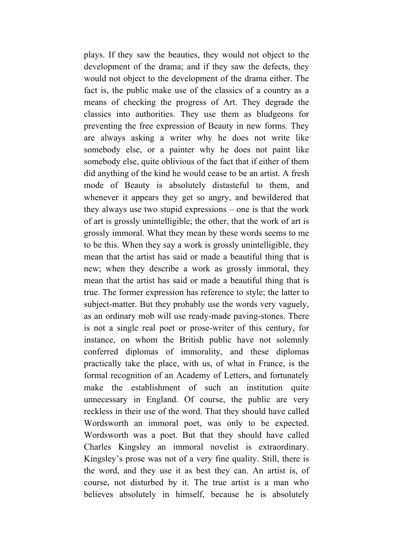plays. If they saw the beauties, they would not object to the development of the drama; and if they saw the defects, they would not object to the development of the drama either. The fact is, the public make use of the classics of a country as a means of checking the progress of Art. They degrade the classics into authorities. They use them as bludgeons for preventing the free expression of Beauty in new forms. They are always asking a writer why he does not write like somebody else, or a painter why he does not paint like somebody else, quite oblivious of the fact that if either of them did anything of the kind he would cease to be an artist. A fresh mode of Beauty is absolutely distasteful to them, and whenever it appears they get so angry, and bewildered that they always use two stupid expressions – one is that the work of art is grossly unintelligible; the other, that the work of art is grossly immoral. What they mean by these words seems to me to be this. When they say a work is grossly unintelligible, they mean that the artist has said or made a beautiful thing that is new; when they describe a work as grossly immoral, they mean that the artist has said or made a beautiful thing that is true. The former expression has reference to style; the latter to subject-matter. But they probably use the words very vaguely, as an ordinary mob will use ready-made paving-stones. There is not a single real poet or prose-writer of this century, for instance, on whom the British public have not solemnly conferred diplomas of immorality, and these diplomas practically take the place, with us, of what in France, is the formal recognition of an Academy of Letters, and fortunately make the establishment of such an institution quite unnecessary in England. Of course, the public are very reckless in their use of the word. That they should have called Wordsworth an immoral poet, was only to be expected. Wordsworth was a poet. But that they should have called Charles Kingsley an immoral novelist is extraordinary. Kingsley's prose was not of a very fine quality. Still, there is the word, and they use it as best they can. An artist is, of course, not disturbed by it. The true artist is a man who believes absolutely in himself, because he is absolutely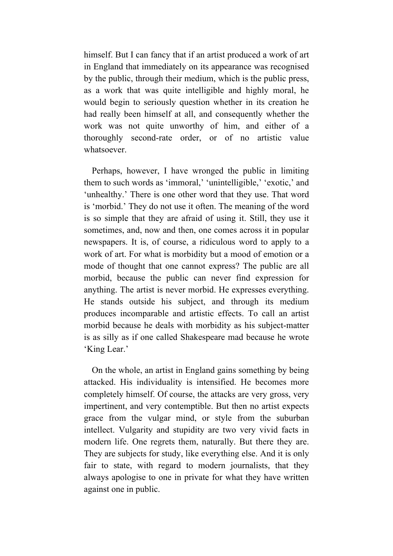himself. But I can fancy that if an artist produced a work of art in England that immediately on its appearance was recognised by the public, through their medium, which is the public press, as a work that was quite intelligible and highly moral, he would begin to seriously question whether in its creation he had really been himself at all, and consequently whether the work was not quite unworthy of him, and either of a thoroughly second-rate order, or of no artistic value whatsoever.

Perhaps, however, I have wronged the public in limiting them to such words as 'immoral,' 'unintelligible,' 'exotic,' and 'unhealthy.' There is one other word that they use. That word is 'morbid.' They do not use it often. The meaning of the word is so simple that they are afraid of using it. Still, they use it sometimes, and, now and then, one comes across it in popular newspapers. It is, of course, a ridiculous word to apply to a work of art. For what is morbidity but a mood of emotion or a mode of thought that one cannot express? The public are all morbid, because the public can never find expression for anything. The artist is never morbid. He expresses everything. He stands outside his subject, and through its medium produces incomparable and artistic effects. To call an artist morbid because he deals with morbidity as his subject-matter is as silly as if one called Shakespeare mad because he wrote 'King Lear.'

On the whole, an artist in England gains something by being attacked. His individuality is intensified. He becomes more completely himself. Of course, the attacks are very gross, very impertinent, and very contemptible. But then no artist expects grace from the vulgar mind, or style from the suburban intellect. Vulgarity and stupidity are two very vivid facts in modern life. One regrets them, naturally. But there they are. They are subjects for study, like everything else. And it is only fair to state, with regard to modern journalists, that they always apologise to one in private for what they have written against one in public.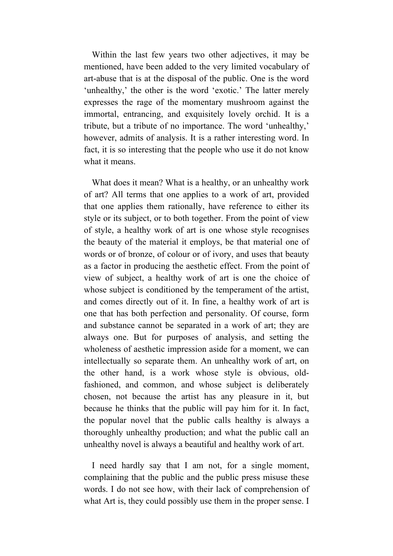Within the last few years two other adjectives, it may be mentioned, have been added to the very limited vocabulary of art-abuse that is at the disposal of the public. One is the word 'unhealthy,' the other is the word 'exotic.' The latter merely expresses the rage of the momentary mushroom against the immortal, entrancing, and exquisitely lovely orchid. It is a tribute, but a tribute of no importance. The word 'unhealthy,' however, admits of analysis. It is a rather interesting word. In fact, it is so interesting that the people who use it do not know what it means.

What does it mean? What is a healthy, or an unhealthy work of art? All terms that one applies to a work of art, provided that one applies them rationally, have reference to either its style or its subject, or to both together. From the point of view of style, a healthy work of art is one whose style recognises the beauty of the material it employs, be that material one of words or of bronze, of colour or of ivory, and uses that beauty as a factor in producing the aesthetic effect. From the point of view of subject, a healthy work of art is one the choice of whose subject is conditioned by the temperament of the artist, and comes directly out of it. In fine, a healthy work of art is one that has both perfection and personality. Of course, form and substance cannot be separated in a work of art; they are always one. But for purposes of analysis, and setting the wholeness of aesthetic impression aside for a moment, we can intellectually so separate them. An unhealthy work of art, on the other hand, is a work whose style is obvious, oldfashioned, and common, and whose subject is deliberately chosen, not because the artist has any pleasure in it, but because he thinks that the public will pay him for it. In fact, the popular novel that the public calls healthy is always a thoroughly unhealthy production; and what the public call an unhealthy novel is always a beautiful and healthy work of art.

I need hardly say that I am not, for a single moment, complaining that the public and the public press misuse these words. I do not see how, with their lack of comprehension of what Art is, they could possibly use them in the proper sense. I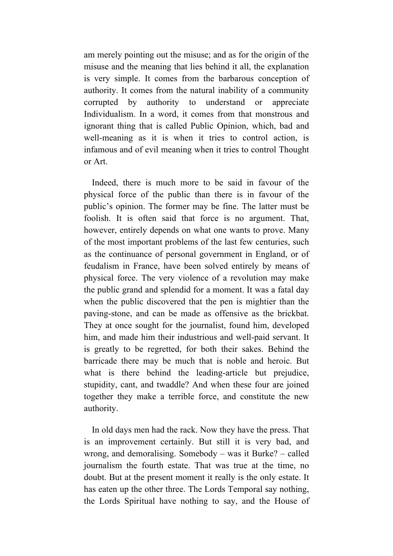am merely pointing out the misuse; and as for the origin of the misuse and the meaning that lies behind it all, the explanation is very simple. It comes from the barbarous conception of authority. It comes from the natural inability of a community corrupted by authority to understand or appreciate Individualism. In a word, it comes from that monstrous and ignorant thing that is called Public Opinion, which, bad and well-meaning as it is when it tries to control action, is infamous and of evil meaning when it tries to control Thought or Art.

Indeed, there is much more to be said in favour of the physical force of the public than there is in favour of the public's opinion. The former may be fine. The latter must be foolish. It is often said that force is no argument. That, however, entirely depends on what one wants to prove. Many of the most important problems of the last few centuries, such as the continuance of personal government in England, or of feudalism in France, have been solved entirely by means of physical force. The very violence of a revolution may make the public grand and splendid for a moment. It was a fatal day when the public discovered that the pen is mightier than the paving-stone, and can be made as offensive as the brickbat. They at once sought for the journalist, found him, developed him, and made him their industrious and well-paid servant. It is greatly to be regretted, for both their sakes. Behind the barricade there may be much that is noble and heroic. But what is there behind the leading-article but prejudice, stupidity, cant, and twaddle? And when these four are joined together they make a terrible force, and constitute the new authority.

In old days men had the rack. Now they have the press. That is an improvement certainly. But still it is very bad, and wrong, and demoralising. Somebody – was it Burke? – called journalism the fourth estate. That was true at the time, no doubt. But at the present moment it really is the only estate. It has eaten up the other three. The Lords Temporal say nothing, the Lords Spiritual have nothing to say, and the House of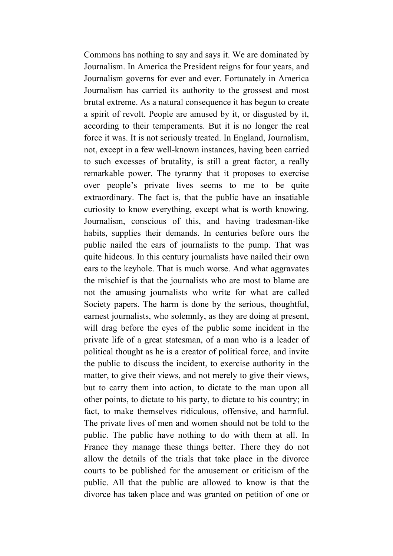Commons has nothing to say and says it. We are dominated by Journalism. In America the President reigns for four years, and Journalism governs for ever and ever. Fortunately in America Journalism has carried its authority to the grossest and most brutal extreme. As a natural consequence it has begun to create a spirit of revolt. People are amused by it, or disgusted by it, according to their temperaments. But it is no longer the real force it was. It is not seriously treated. In England, Journalism, not, except in a few well-known instances, having been carried to such excesses of brutality, is still a great factor, a really remarkable power. The tyranny that it proposes to exercise over people's private lives seems to me to be quite extraordinary. The fact is, that the public have an insatiable curiosity to know everything, except what is worth knowing. Journalism, conscious of this, and having tradesman-like habits, supplies their demands. In centuries before ours the public nailed the ears of journalists to the pump. That was quite hideous. In this century journalists have nailed their own ears to the keyhole. That is much worse. And what aggravates the mischief is that the journalists who are most to blame are not the amusing journalists who write for what are called Society papers. The harm is done by the serious, thoughtful, earnest journalists, who solemnly, as they are doing at present, will drag before the eyes of the public some incident in the private life of a great statesman, of a man who is a leader of political thought as he is a creator of political force, and invite the public to discuss the incident, to exercise authority in the matter, to give their views, and not merely to give their views, but to carry them into action, to dictate to the man upon all other points, to dictate to his party, to dictate to his country; in fact, to make themselves ridiculous, offensive, and harmful. The private lives of men and women should not be told to the public. The public have nothing to do with them at all. In France they manage these things better. There they do not allow the details of the trials that take place in the divorce courts to be published for the amusement or criticism of the public. All that the public are allowed to know is that the divorce has taken place and was granted on petition of one or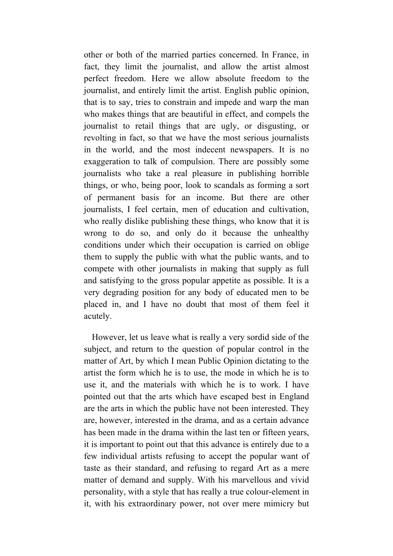other or both of the married parties concerned. In France, in fact, they limit the journalist, and allow the artist almost perfect freedom. Here we allow absolute freedom to the journalist, and entirely limit the artist. English public opinion, that is to say, tries to constrain and impede and warp the man who makes things that are beautiful in effect, and compels the journalist to retail things that are ugly, or disgusting, or revolting in fact, so that we have the most serious journalists in the world, and the most indecent newspapers. It is no exaggeration to talk of compulsion. There are possibly some journalists who take a real pleasure in publishing horrible things, or who, being poor, look to scandals as forming a sort of permanent basis for an income. But there are other journalists, I feel certain, men of education and cultivation, who really dislike publishing these things, who know that it is wrong to do so, and only do it because the unhealthy conditions under which their occupation is carried on oblige them to supply the public with what the public wants, and to compete with other journalists in making that supply as full and satisfying to the gross popular appetite as possible. It is a very degrading position for any body of educated men to be placed in, and I have no doubt that most of them feel it acutely.

However, let us leave what is really a very sordid side of the subject, and return to the question of popular control in the matter of Art, by which I mean Public Opinion dictating to the artist the form which he is to use, the mode in which he is to use it, and the materials with which he is to work. I have pointed out that the arts which have escaped best in England are the arts in which the public have not been interested. They are, however, interested in the drama, and as a certain advance has been made in the drama within the last ten or fifteen years, it is important to point out that this advance is entirely due to a few individual artists refusing to accept the popular want of taste as their standard, and refusing to regard Art as a mere matter of demand and supply. With his marvellous and vivid personality, with a style that has really a true colour-element in it, with his extraordinary power, not over mere mimicry but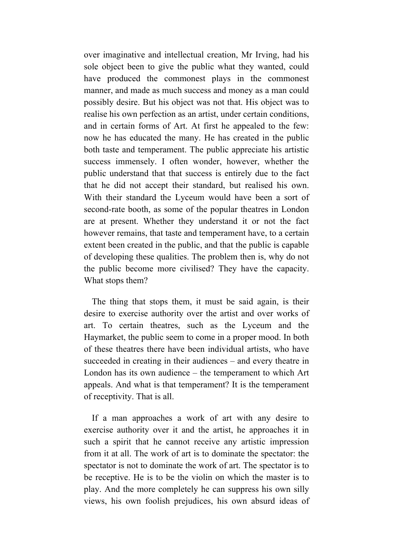over imaginative and intellectual creation, Mr Irving, had his sole object been to give the public what they wanted, could have produced the commonest plays in the commonest manner, and made as much success and money as a man could possibly desire. But his object was not that. His object was to realise his own perfection as an artist, under certain conditions, and in certain forms of Art. At first he appealed to the few: now he has educated the many. He has created in the public both taste and temperament. The public appreciate his artistic success immensely. I often wonder, however, whether the public understand that that success is entirely due to the fact that he did not accept their standard, but realised his own. With their standard the Lyceum would have been a sort of second-rate booth, as some of the popular theatres in London are at present. Whether they understand it or not the fact however remains, that taste and temperament have, to a certain extent been created in the public, and that the public is capable of developing these qualities. The problem then is, why do not the public become more civilised? They have the capacity. What stops them?

The thing that stops them, it must be said again, is their desire to exercise authority over the artist and over works of art. To certain theatres, such as the Lyceum and the Haymarket, the public seem to come in a proper mood. In both of these theatres there have been individual artists, who have succeeded in creating in their audiences – and every theatre in London has its own audience – the temperament to which Art appeals. And what is that temperament? It is the temperament of receptivity. That is all.

If a man approaches a work of art with any desire to exercise authority over it and the artist, he approaches it in such a spirit that he cannot receive any artistic impression from it at all. The work of art is to dominate the spectator: the spectator is not to dominate the work of art. The spectator is to be receptive. He is to be the violin on which the master is to play. And the more completely he can suppress his own silly views, his own foolish prejudices, his own absurd ideas of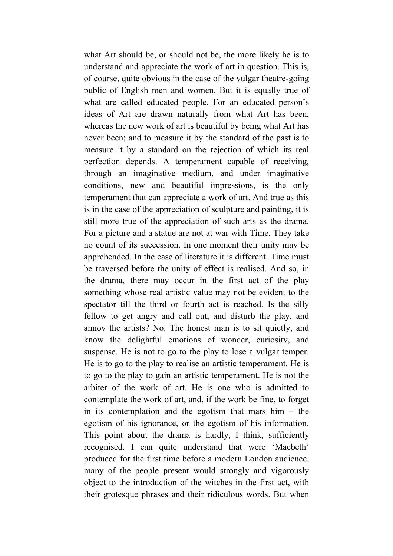what Art should be, or should not be, the more likely he is to understand and appreciate the work of art in question. This is, of course, quite obvious in the case of the vulgar theatre-going public of English men and women. But it is equally true of what are called educated people. For an educated person's ideas of Art are drawn naturally from what Art has been, whereas the new work of art is beautiful by being what Art has never been; and to measure it by the standard of the past is to measure it by a standard on the rejection of which its real perfection depends. A temperament capable of receiving, through an imaginative medium, and under imaginative conditions, new and beautiful impressions, is the only temperament that can appreciate a work of art. And true as this is in the case of the appreciation of sculpture and painting, it is still more true of the appreciation of such arts as the drama. For a picture and a statue are not at war with Time. They take no count of its succession. In one moment their unity may be apprehended. In the case of literature it is different. Time must be traversed before the unity of effect is realised. And so, in the drama, there may occur in the first act of the play something whose real artistic value may not be evident to the spectator till the third or fourth act is reached. Is the silly fellow to get angry and call out, and disturb the play, and annoy the artists? No. The honest man is to sit quietly, and know the delightful emotions of wonder, curiosity, and suspense. He is not to go to the play to lose a vulgar temper. He is to go to the play to realise an artistic temperament. He is to go to the play to gain an artistic temperament. He is not the arbiter of the work of art. He is one who is admitted to contemplate the work of art, and, if the work be fine, to forget in its contemplation and the egotism that mars him  $-$  the egotism of his ignorance, or the egotism of his information. This point about the drama is hardly, I think, sufficiently recognised. I can quite understand that were 'Macbeth' produced for the first time before a modern London audience, many of the people present would strongly and vigorously object to the introduction of the witches in the first act, with their grotesque phrases and their ridiculous words. But when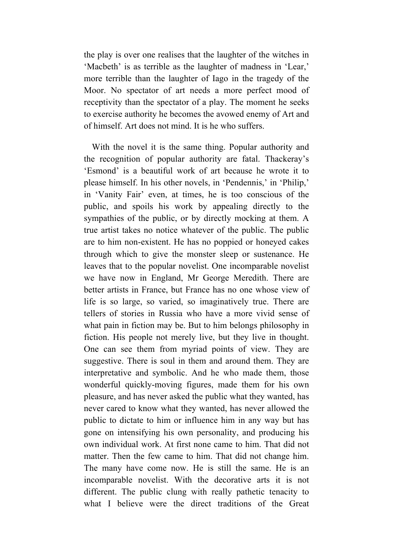the play is over one realises that the laughter of the witches in 'Macbeth' is as terrible as the laughter of madness in 'Lear,' more terrible than the laughter of Iago in the tragedy of the Moor. No spectator of art needs a more perfect mood of receptivity than the spectator of a play. The moment he seeks to exercise authority he becomes the avowed enemy of Art and of himself. Art does not mind. It is he who suffers.

With the novel it is the same thing. Popular authority and the recognition of popular authority are fatal. Thackeray's 'Esmond' is a beautiful work of art because he wrote it to please himself. In his other novels, in 'Pendennis,' in 'Philip,' in 'Vanity Fair' even, at times, he is too conscious of the public, and spoils his work by appealing directly to the sympathies of the public, or by directly mocking at them. A true artist takes no notice whatever of the public. The public are to him non-existent. He has no poppied or honeyed cakes through which to give the monster sleep or sustenance. He leaves that to the popular novelist. One incomparable novelist we have now in England, Mr George Meredith. There are better artists in France, but France has no one whose view of life is so large, so varied, so imaginatively true. There are tellers of stories in Russia who have a more vivid sense of what pain in fiction may be. But to him belongs philosophy in fiction. His people not merely live, but they live in thought. One can see them from myriad points of view. They are suggestive. There is soul in them and around them. They are interpretative and symbolic. And he who made them, those wonderful quickly-moving figures, made them for his own pleasure, and has never asked the public what they wanted, has never cared to know what they wanted, has never allowed the public to dictate to him or influence him in any way but has gone on intensifying his own personality, and producing his own individual work. At first none came to him. That did not matter. Then the few came to him. That did not change him. The many have come now. He is still the same. He is an incomparable novelist. With the decorative arts it is not different. The public clung with really pathetic tenacity to what I believe were the direct traditions of the Great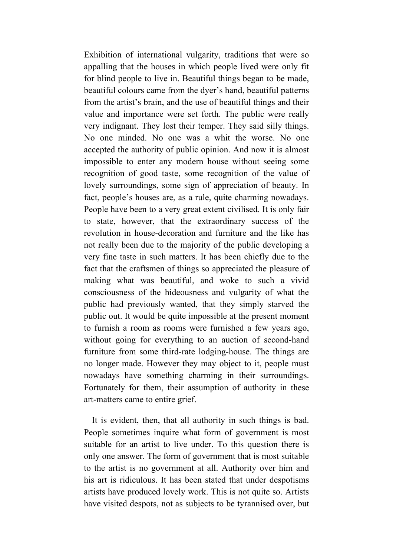Exhibition of international vulgarity, traditions that were so appalling that the houses in which people lived were only fit for blind people to live in. Beautiful things began to be made, beautiful colours came from the dyer's hand, beautiful patterns from the artist's brain, and the use of beautiful things and their value and importance were set forth. The public were really very indignant. They lost their temper. They said silly things. No one minded. No one was a whit the worse. No one accepted the authority of public opinion. And now it is almost impossible to enter any modern house without seeing some recognition of good taste, some recognition of the value of lovely surroundings, some sign of appreciation of beauty. In fact, people's houses are, as a rule, quite charming nowadays. People have been to a very great extent civilised. It is only fair to state, however, that the extraordinary success of the revolution in house-decoration and furniture and the like has not really been due to the majority of the public developing a very fine taste in such matters. It has been chiefly due to the fact that the craftsmen of things so appreciated the pleasure of making what was beautiful, and woke to such a vivid consciousness of the hideousness and vulgarity of what the public had previously wanted, that they simply starved the public out. It would be quite impossible at the present moment to furnish a room as rooms were furnished a few years ago, without going for everything to an auction of second-hand furniture from some third-rate lodging-house. The things are no longer made. However they may object to it, people must nowadays have something charming in their surroundings. Fortunately for them, their assumption of authority in these art-matters came to entire grief.

It is evident, then, that all authority in such things is bad. People sometimes inquire what form of government is most suitable for an artist to live under. To this question there is only one answer. The form of government that is most suitable to the artist is no government at all. Authority over him and his art is ridiculous. It has been stated that under despotisms artists have produced lovely work. This is not quite so. Artists have visited despots, not as subjects to be tyrannised over, but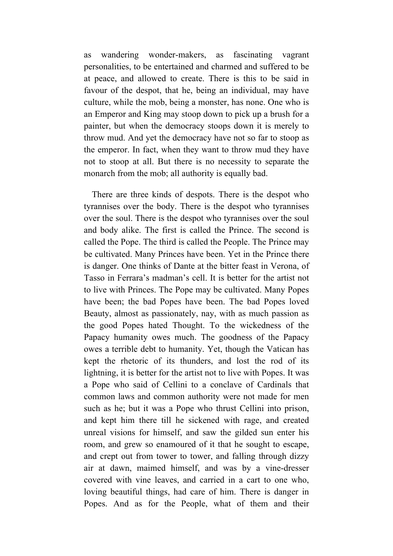as wandering wonder-makers, as fascinating vagrant personalities, to be entertained and charmed and suffered to be at peace, and allowed to create. There is this to be said in favour of the despot, that he, being an individual, may have culture, while the mob, being a monster, has none. One who is an Emperor and King may stoop down to pick up a brush for a painter, but when the democracy stoops down it is merely to throw mud. And yet the democracy have not so far to stoop as the emperor. In fact, when they want to throw mud they have not to stoop at all. But there is no necessity to separate the monarch from the mob; all authority is equally bad.

There are three kinds of despots. There is the despot who tyrannises over the body. There is the despot who tyrannises over the soul. There is the despot who tyrannises over the soul and body alike. The first is called the Prince. The second is called the Pope. The third is called the People. The Prince may be cultivated. Many Princes have been. Yet in the Prince there is danger. One thinks of Dante at the bitter feast in Verona, of Tasso in Ferrara's madman's cell. It is better for the artist not to live with Princes. The Pope may be cultivated. Many Popes have been; the bad Popes have been. The bad Popes loved Beauty, almost as passionately, nay, with as much passion as the good Popes hated Thought. To the wickedness of the Papacy humanity owes much. The goodness of the Papacy owes a terrible debt to humanity. Yet, though the Vatican has kept the rhetoric of its thunders, and lost the rod of its lightning, it is better for the artist not to live with Popes. It was a Pope who said of Cellini to a conclave of Cardinals that common laws and common authority were not made for men such as he; but it was a Pope who thrust Cellini into prison, and kept him there till he sickened with rage, and created unreal visions for himself, and saw the gilded sun enter his room, and grew so enamoured of it that he sought to escape, and crept out from tower to tower, and falling through dizzy air at dawn, maimed himself, and was by a vine-dresser covered with vine leaves, and carried in a cart to one who, loving beautiful things, had care of him. There is danger in Popes. And as for the People, what of them and their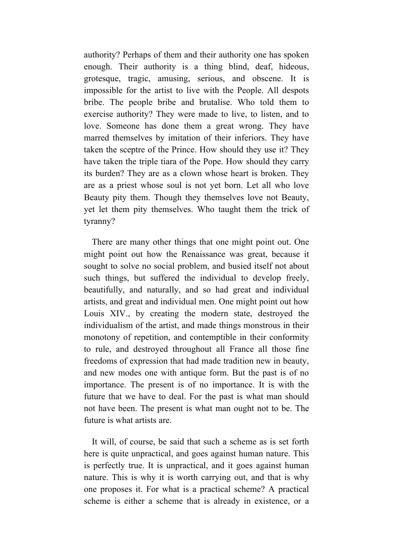authority? Perhaps of them and their authority one has spoken enough. Their authority is a thing blind, deaf, hideous, grotesque, tragic, amusing, serious, and obscene. It is impossible for the artist to live with the People. All despots bribe. The people bribe and brutalise. Who told them to exercise authority? They were made to live, to listen, and to love. Someone has done them a great wrong. They have marred themselves by imitation of their inferiors. They have taken the sceptre of the Prince. How should they use it? They have taken the triple tiara of the Pope. How should they carry its burden? They are as a clown whose heart is broken. They are as a priest whose soul is not yet born. Let all who love Beauty pity them. Though they themselves love not Beauty, yet let them pity themselves. Who taught them the trick of tyranny?

There are many other things that one might point out. One might point out how the Renaissance was great, because it sought to solve no social problem, and busied itself not about such things, but suffered the individual to develop freely, beautifully, and naturally, and so had great and individual artists, and great and individual men. One might point out how Louis XIV., by creating the modern state, destroyed the individualism of the artist, and made things monstrous in their monotony of repetition, and contemptible in their conformity to rule, and destroyed throughout all France all those fine freedoms of expression that had made tradition new in beauty, and new modes one with antique form. But the past is of no importance. The present is of no importance. It is with the future that we have to deal. For the past is what man should not have been. The present is what man ought not to be. The future is what artists are.

It will, of course, be said that such a scheme as is set forth here is quite unpractical, and goes against human nature. This is perfectly true. It is unpractical, and it goes against human nature. This is why it is worth carrying out, and that is why one proposes it. For what is a practical scheme? A practical scheme is either a scheme that is already in existence, or a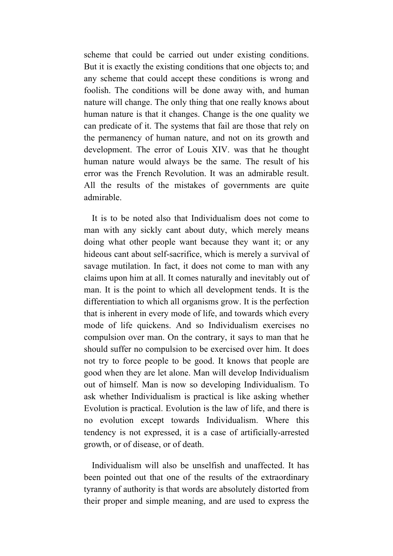scheme that could be carried out under existing conditions. But it is exactly the existing conditions that one objects to; and any scheme that could accept these conditions is wrong and foolish. The conditions will be done away with, and human nature will change. The only thing that one really knows about human nature is that it changes. Change is the one quality we can predicate of it. The systems that fail are those that rely on the permanency of human nature, and not on its growth and development. The error of Louis XIV. was that he thought human nature would always be the same. The result of his error was the French Revolution. It was an admirable result. All the results of the mistakes of governments are quite admirable.

It is to be noted also that Individualism does not come to man with any sickly cant about duty, which merely means doing what other people want because they want it; or any hideous cant about self-sacrifice, which is merely a survival of savage mutilation. In fact, it does not come to man with any claims upon him at all. It comes naturally and inevitably out of man. It is the point to which all development tends. It is the differentiation to which all organisms grow. It is the perfection that is inherent in every mode of life, and towards which every mode of life quickens. And so Individualism exercises no compulsion over man. On the contrary, it says to man that he should suffer no compulsion to be exercised over him. It does not try to force people to be good. It knows that people are good when they are let alone. Man will develop Individualism out of himself. Man is now so developing Individualism. To ask whether Individualism is practical is like asking whether Evolution is practical. Evolution is the law of life, and there is no evolution except towards Individualism. Where this tendency is not expressed, it is a case of artificially-arrested growth, or of disease, or of death.

Individualism will also be unselfish and unaffected. It has been pointed out that one of the results of the extraordinary tyranny of authority is that words are absolutely distorted from their proper and simple meaning, and are used to express the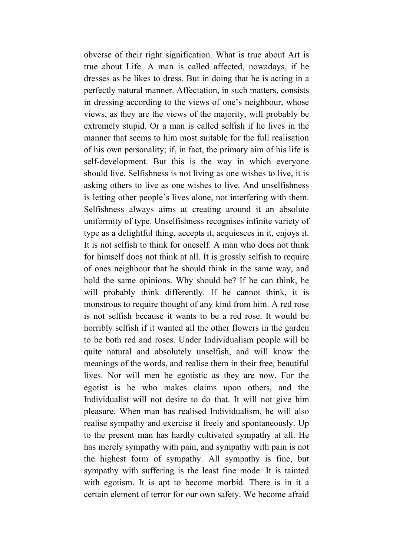obverse of their right signification. What is true about Art is true about Life. A man is called affected, nowadays, if he dresses as he likes to dress. But in doing that he is acting in a perfectly natural manner. Affectation, in such matters, consists in dressing according to the views of one's neighbour, whose views, as they are the views of the majority, will probably be extremely stupid. Or a man is called selfish if he lives in the manner that seems to him most suitable for the full realisation of his own personality; if, in fact, the primary aim of his life is self-development. But this is the way in which everyone should live. Selfishness is not living as one wishes to live, it is asking others to live as one wishes to live. And unselfishness is letting other people's lives alone, not interfering with them. Selfishness always aims at creating around it an absolute uniformity of type. Unselfishness recognises infinite variety of type as a delightful thing, accepts it, acquiesces in it, enjoys it. It is not selfish to think for oneself. A man who does not think for himself does not think at all. It is grossly selfish to require of ones neighbour that he should think in the same way, and hold the same opinions. Why should he? If he can think, he will probably think differently. If he cannot think, it is monstrous to require thought of any kind from him. A red rose is not selfish because it wants to be a red rose. It would be horribly selfish if it wanted all the other flowers in the garden to be both red and roses. Under Individualism people will be quite natural and absolutely unselfish, and will know the meanings of the words, and realise them in their free, beautiful lives. Nor will men be egotistic as they are now. For the egotist is he who makes claims upon others, and the Individualist will not desire to do that. It will not give him pleasure. When man has realised Individualism, he will also realise sympathy and exercise it freely and spontaneously. Up to the present man has hardly cultivated sympathy at all. He has merely sympathy with pain, and sympathy with pain is not the highest form of sympathy. All sympathy is fine, but sympathy with suffering is the least fine mode. It is tainted with egotism. It is apt to become morbid. There is in it a certain element of terror for our own safety. We become afraid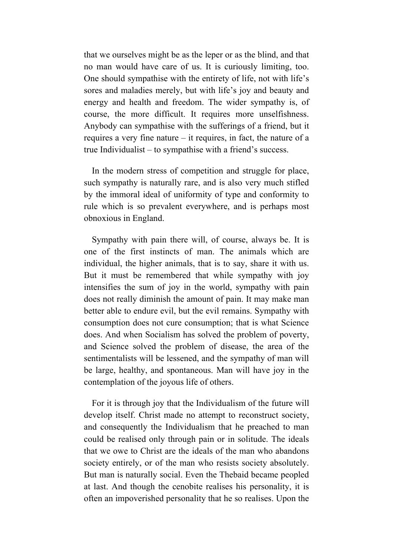that we ourselves might be as the leper or as the blind, and that no man would have care of us. It is curiously limiting, too. One should sympathise with the entirety of life, not with life's sores and maladies merely, but with life's joy and beauty and energy and health and freedom. The wider sympathy is, of course, the more difficult. It requires more unselfishness. Anybody can sympathise with the sufferings of a friend, but it requires a very fine nature – it requires, in fact, the nature of a true Individualist – to sympathise with a friend's success.

In the modern stress of competition and struggle for place, such sympathy is naturally rare, and is also very much stifled by the immoral ideal of uniformity of type and conformity to rule which is so prevalent everywhere, and is perhaps most obnoxious in England.

Sympathy with pain there will, of course, always be. It is one of the first instincts of man. The animals which are individual, the higher animals, that is to say, share it with us. But it must be remembered that while sympathy with joy intensifies the sum of joy in the world, sympathy with pain does not really diminish the amount of pain. It may make man better able to endure evil, but the evil remains. Sympathy with consumption does not cure consumption; that is what Science does. And when Socialism has solved the problem of poverty, and Science solved the problem of disease, the area of the sentimentalists will be lessened, and the sympathy of man will be large, healthy, and spontaneous. Man will have joy in the contemplation of the joyous life of others.

For it is through joy that the Individualism of the future will develop itself. Christ made no attempt to reconstruct society, and consequently the Individualism that he preached to man could be realised only through pain or in solitude. The ideals that we owe to Christ are the ideals of the man who abandons society entirely, or of the man who resists society absolutely. But man is naturally social. Even the Thebaid became peopled at last. And though the cenobite realises his personality, it is often an impoverished personality that he so realises. Upon the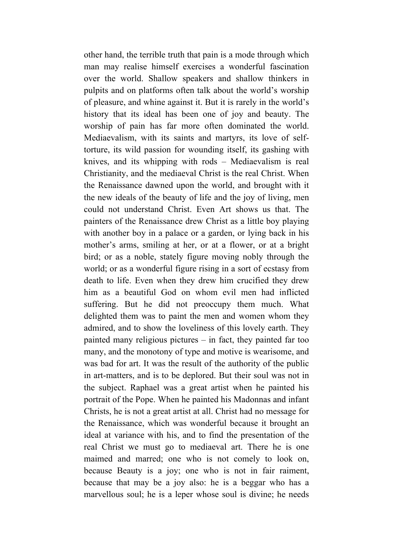other hand, the terrible truth that pain is a mode through which man may realise himself exercises a wonderful fascination over the world. Shallow speakers and shallow thinkers in pulpits and on platforms often talk about the world's worship of pleasure, and whine against it. But it is rarely in the world's history that its ideal has been one of joy and beauty. The worship of pain has far more often dominated the world. Mediaevalism, with its saints and martyrs, its love of selftorture, its wild passion for wounding itself, its gashing with knives, and its whipping with rods – Mediaevalism is real Christianity, and the mediaeval Christ is the real Christ. When the Renaissance dawned upon the world, and brought with it the new ideals of the beauty of life and the joy of living, men could not understand Christ. Even Art shows us that. The painters of the Renaissance drew Christ as a little boy playing with another boy in a palace or a garden, or lying back in his mother's arms, smiling at her, or at a flower, or at a bright bird; or as a noble, stately figure moving nobly through the world; or as a wonderful figure rising in a sort of ecstasy from death to life. Even when they drew him crucified they drew him as a beautiful God on whom evil men had inflicted suffering. But he did not preoccupy them much. What delighted them was to paint the men and women whom they admired, and to show the loveliness of this lovely earth. They painted many religious pictures – in fact, they painted far too many, and the monotony of type and motive is wearisome, and was bad for art. It was the result of the authority of the public in art-matters, and is to be deplored. But their soul was not in the subject. Raphael was a great artist when he painted his portrait of the Pope. When he painted his Madonnas and infant Christs, he is not a great artist at all. Christ had no message for the Renaissance, which was wonderful because it brought an ideal at variance with his, and to find the presentation of the real Christ we must go to mediaeval art. There he is one maimed and marred; one who is not comely to look on, because Beauty is a joy; one who is not in fair raiment, because that may be a joy also: he is a beggar who has a marvellous soul; he is a leper whose soul is divine; he needs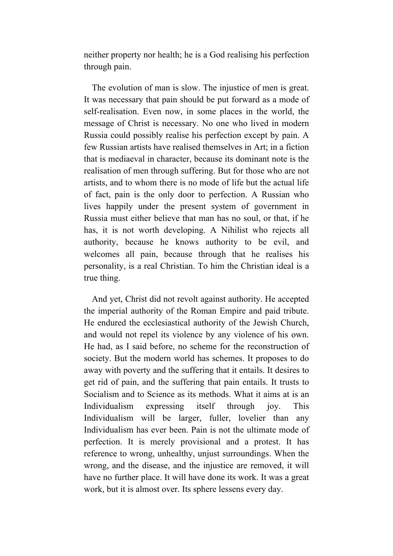neither property nor health; he is a God realising his perfection through pain.

The evolution of man is slow. The injustice of men is great. It was necessary that pain should be put forward as a mode of self-realisation. Even now, in some places in the world, the message of Christ is necessary. No one who lived in modern Russia could possibly realise his perfection except by pain. A few Russian artists have realised themselves in Art; in a fiction that is mediaeval in character, because its dominant note is the realisation of men through suffering. But for those who are not artists, and to whom there is no mode of life but the actual life of fact, pain is the only door to perfection. A Russian who lives happily under the present system of government in Russia must either believe that man has no soul, or that, if he has, it is not worth developing. A Nihilist who rejects all authority, because he knows authority to be evil, and welcomes all pain, because through that he realises his personality, is a real Christian. To him the Christian ideal is a true thing.

And yet, Christ did not revolt against authority. He accepted the imperial authority of the Roman Empire and paid tribute. He endured the ecclesiastical authority of the Jewish Church, and would not repel its violence by any violence of his own. He had, as I said before, no scheme for the reconstruction of society. But the modern world has schemes. It proposes to do away with poverty and the suffering that it entails. It desires to get rid of pain, and the suffering that pain entails. It trusts to Socialism and to Science as its methods. What it aims at is an Individualism expressing itself through joy. This Individualism will be larger, fuller, lovelier than any Individualism has ever been. Pain is not the ultimate mode of perfection. It is merely provisional and a protest. It has reference to wrong, unhealthy, unjust surroundings. When the wrong, and the disease, and the injustice are removed, it will have no further place. It will have done its work. It was a great work, but it is almost over. Its sphere lessens every day.